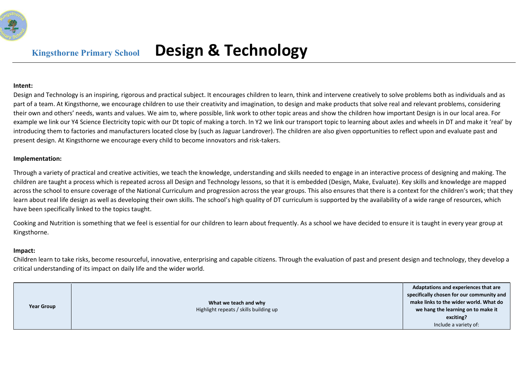

## Kingsthorne Primary School Design & Technology

## Intent:

Design and Technology is an inspiring, rigorous and practical subject. It encourages children to learn, think and intervene creatively to solve problems both as individuals and as part of a team. At Kingsthorne, we encourage children to use their creativity and imagination, to design and make products that solve real and relevant problems, considering their own and others' needs, wants and values. We aim to, where possible, link work to other topic areas and show the children how important Design is in our local area. For example we link our Y4 Science Electricity topic with our Dt topic of making a torch. In Y2 we link our transport topic to learning about axles and wheels in DT and make it 'real' by introducing them to factories and manufacturers located close by (such as Jaguar Landrover). The children are also given opportunities to reflect upon and evaluate past and present design. At Kingsthorne we encourage every child to become innovators and risk-takers.

## Implementation:

Through a variety of practical and creative activities, we teach the knowledge, understanding and skills needed to engage in an interactive process of designing and making. The children are taught a process which is repeated across all Design and Technology lessons, so that it is embedded (Design, Make, Evaluate). Key skills and knowledge are mapped across the school to ensure coverage of the National Curriculum and progression across the year groups. This also ensures that there is a context for the children's work; that they learn about real life design as well as developing their own skills. The school's high quality of DT curriculum is supported by the availability of a wide range of resources, which have been specifically linked to the topics taught.

Cooking and Nutrition is something that we feel is essential for our children to learn about frequently. As a school we have decided to ensure it is taught in every year group at Kingsthorne.

## Impact:

Children learn to take risks, become resourceful, innovative, enterprising and capable citizens. Through the evaluation of past and present design and technology, they develop a critical understanding of its impact on daily life and the wider world.

| <b>Year Group</b> | What we teach and why<br>Highlight repeats / skills building up | Adaptations and experiences that are<br>specifically chosen for our community and<br>make links to the wider world. What do<br>we hang the learning on to make it<br>exciting?<br>Include a variety of: |
|-------------------|-----------------------------------------------------------------|---------------------------------------------------------------------------------------------------------------------------------------------------------------------------------------------------------|
|-------------------|-----------------------------------------------------------------|---------------------------------------------------------------------------------------------------------------------------------------------------------------------------------------------------------|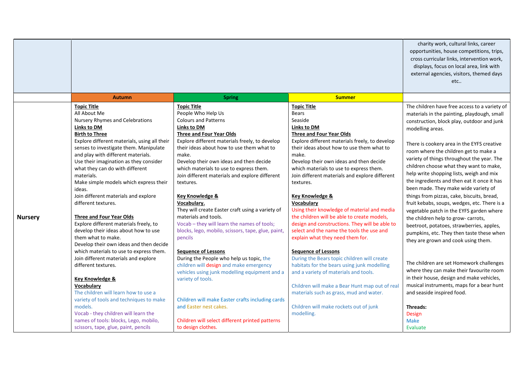|                |                                                                                                                                                                                                                                                                                                                                                                                                                                                                                                                                                 | charity work, cultural links, career<br>opportunities, house competitions, trips,<br>cross curricular links, intervention work,<br>displays, focus on local area, link with<br>external agencies, visitors, themed days<br>etc                                                                                                                                                                                                                                                                                                                      |                                                                                                                                                                                                                                                                                                                                                                                                                                                                                                                                                          |                                                                                                                                                                                                                                                                                                                                                                                                                                                                                                                                                                                                                                                                                                                 |
|----------------|-------------------------------------------------------------------------------------------------------------------------------------------------------------------------------------------------------------------------------------------------------------------------------------------------------------------------------------------------------------------------------------------------------------------------------------------------------------------------------------------------------------------------------------------------|-----------------------------------------------------------------------------------------------------------------------------------------------------------------------------------------------------------------------------------------------------------------------------------------------------------------------------------------------------------------------------------------------------------------------------------------------------------------------------------------------------------------------------------------------------|----------------------------------------------------------------------------------------------------------------------------------------------------------------------------------------------------------------------------------------------------------------------------------------------------------------------------------------------------------------------------------------------------------------------------------------------------------------------------------------------------------------------------------------------------------|-----------------------------------------------------------------------------------------------------------------------------------------------------------------------------------------------------------------------------------------------------------------------------------------------------------------------------------------------------------------------------------------------------------------------------------------------------------------------------------------------------------------------------------------------------------------------------------------------------------------------------------------------------------------------------------------------------------------|
|                | <b>Autumn</b>                                                                                                                                                                                                                                                                                                                                                                                                                                                                                                                                   | <b>Spring</b>                                                                                                                                                                                                                                                                                                                                                                                                                                                                                                                                       | <b>Summer</b>                                                                                                                                                                                                                                                                                                                                                                                                                                                                                                                                            |                                                                                                                                                                                                                                                                                                                                                                                                                                                                                                                                                                                                                                                                                                                 |
| <b>Nursery</b> | <b>Topic Title</b><br>All About Me<br>Nursery Rhymes and Celebrations<br><b>Links to DM</b><br><b>Birth to Three</b><br>Explore different materials, using all their<br>senses to investigate them. Manipulate<br>and play with different materials.<br>Use their imagination as they consider<br>what they can do with different<br>materials.<br>Make simple models which express their<br>ideas.<br>Join different materials and explore<br>different textures.<br><b>Three and Four Year Olds</b><br>Explore different materials freely, to | Topic Title<br>People Who Help Us<br><b>Colours and Patterns</b><br><b>Links to DM</b><br><b>Three and Four Year Olds</b><br>Explore different materials freely, to develop<br>their ideas about how to use them what to<br>make.<br>Develop their own ideas and then decide<br>which materials to use to express them.<br>Join different materials and explore different<br>textures.<br>Key Knowledge &<br>Vocabulary.<br>They will create Easter craft using a variety of<br>materials and tools.<br>Vocab - they will learn the names of tools; | <b>Topic Title</b><br>Bears<br>Seaside<br><b>Links to DM</b><br><b>Three and Four Year Olds</b><br>Explore different materials freely, to develop<br>their ideas about how to use them what to<br>make.<br>Develop their own ideas and then decide<br>which materials to use to express them.<br>Join different materials and explore different<br>textures.<br><b>Key Knowledge &amp;</b><br>Vocabulary<br>Using their knowledge of material and media<br>the children will be able to create models,<br>design and constructions. They will be able to | The children have free access to a variety of<br>materials in the painting, playdough, small<br>construction, block play, outdoor and junk<br>modelling areas.<br>There is cookery area in the EYFS creative<br>room where the children get to make a<br>variety of things throughout the year. The<br>children choose what they want to make,<br>help write shopping lists, weigh and mix<br>the ingredients and then eat it once it has<br>been made. They make wide variety of<br>things from pizzas, cake, biscuits, bread,<br>fruit kebabs, soups, wedges, etc. There is a<br>vegetable patch in the EYFS garden where<br>the children help to grow- carrots,<br>beetroot, potatoes, strawberries, apples, |
|                | develop their ideas about how to use<br>them what to make.<br>Develop their own ideas and then decide<br>which materials to use to express them.<br>Join different materials and explore<br>different textures.<br>Key Knowledge &<br><b>Vocabularv</b><br>The children will learn how to use a<br>variety of tools and techniques to make<br>models.<br>Vocab - they children will learn the<br>names of tools: blocks, Lego, mobilo,<br>scissors, tape, glue, paint, pencils                                                                  | blocks, lego, mobilo, scissors, tape, glue, paint,<br>pencils<br><b>Sequence of Lessons</b><br>During the People who help us topic, the<br>children will design and make emergency<br>vehicles using junk modelling equipment and a<br>variety of tools.<br>Children will make Easter crafts including cards<br>and Easter nest cakes.<br>Children will select different printed patterns<br>to design clothes.                                                                                                                                     | select and the name the tools the use and<br>explain what they need them for.<br><b>Sequence of Lessons</b><br>During the Bears topic children will create<br>habitats for the bears using junk modelling<br>and a variety of materials and tools.<br>Children will make a Bear Hunt map out of real<br>materials such as grass, mud and water.<br>Children will make rockets out of junk<br>modelling.                                                                                                                                                  | pumpkins, etc. They then taste these when<br>they are grown and cook using them.<br>The children are set Homework challenges<br>where they can make their favourite room<br>in their house, design and make vehicles,<br>musical instruments, maps for a bear hunt<br>and seaside inspired food.<br>Threads:<br>Design<br><b>Make</b><br>Evaluate                                                                                                                                                                                                                                                                                                                                                               |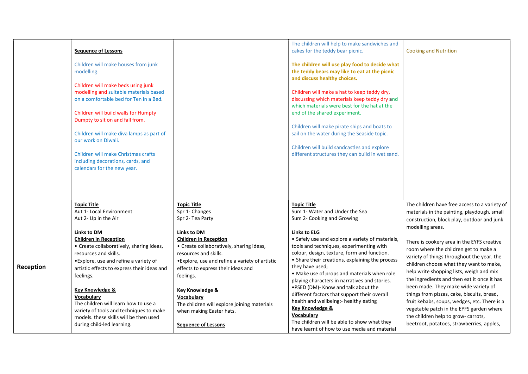|           | <b>Sequence of Lessons</b><br>Children will make houses from junk<br>modelling.<br>Children will make beds using junk<br>modelling and suitable materials based<br>on a comfortable bed for Ten in a Bed.<br>Children will build walls for Humpty<br>Dumpty to sit on and fall from.<br>Children will make diva lamps as part of<br>our work on Diwali.<br>Children will make Christmas crafts<br>including decorations, cards, and<br>calendars for the new year.                                  |                                                                                                                                                                                                                                                                                                                                                                                                                                         | The children will help to make sandwiches and<br>cakes for the teddy bear picnic.<br>The children will use play food to decide what<br>the teddy bears may like to eat at the picnic<br>and discuss healthy choices.<br>Children will make a hat to keep teddy dry,<br>discussing which materials keep teddy dry and<br>which materials were best for the hat at the<br>end of the shared experiment.<br>Children will make pirate ships and boats to<br>sail on the water during the Seaside topic.<br>Children will build sandcastles and explore<br>different structures they can build in wet sand.                                                                                               | <b>Cooking and Nutrition</b>                                                                                                                                                                                                                                                                                                                                                                                                                                                                                                                                                                                                                                                                                    |
|-----------|-----------------------------------------------------------------------------------------------------------------------------------------------------------------------------------------------------------------------------------------------------------------------------------------------------------------------------------------------------------------------------------------------------------------------------------------------------------------------------------------------------|-----------------------------------------------------------------------------------------------------------------------------------------------------------------------------------------------------------------------------------------------------------------------------------------------------------------------------------------------------------------------------------------------------------------------------------------|-------------------------------------------------------------------------------------------------------------------------------------------------------------------------------------------------------------------------------------------------------------------------------------------------------------------------------------------------------------------------------------------------------------------------------------------------------------------------------------------------------------------------------------------------------------------------------------------------------------------------------------------------------------------------------------------------------|-----------------------------------------------------------------------------------------------------------------------------------------------------------------------------------------------------------------------------------------------------------------------------------------------------------------------------------------------------------------------------------------------------------------------------------------------------------------------------------------------------------------------------------------------------------------------------------------------------------------------------------------------------------------------------------------------------------------|
| Reception | <b>Topic Title</b><br>Aut 1- Local Environment<br>Aut 2- Up in the Air<br><b>Links to DM</b><br><b>Children in Reception</b><br>• Create collaboratively, sharing ideas,<br>resources and skills.<br>• Explore, use and refine a variety of<br>artistic effects to express their ideas and<br>feelings.<br>Key Knowledge &<br>Vocabulary<br>The children will learn how to use a<br>variety of tools and techniques to make<br>models. these skills will be then used<br>during child-led learning. | <b>Topic Title</b><br>Spr 1- Changes<br>Spr 2- Tea Party<br>Links to DM<br><b>Children in Reception</b><br>• Create collaboratively, sharing ideas,<br>resources and skills.<br>• Explore, use and refine a variety of artistic<br>effects to express their ideas and<br>feelings.<br><b>Key Knowledge &amp;</b><br>Vocabulary<br>The children will explore joining materials<br>when making Easter hats.<br><b>Sequence of Lessons</b> | <b>Topic Title</b><br>Sum 1- Water and Under the Sea<br>Sum 2- Cooking and Growing<br><b>Links to ELG</b><br>• Safely use and explore a variety of materials,<br>tools and techniques, experimenting with<br>colour, design, texture, form and function.<br>• Share their creations, explaining the process<br>they have used;<br>• Make use of props and materials when role<br>playing characters in narratives and stories.<br>.PSED (DM)- Know and talk about the<br>different factors that support their overall<br>health and wellbeing:- healthy eating<br>Key Knowledge &<br><b>Vocabulary</b><br>The children will be able to show what they<br>have learnt of how to use media and material | The children have free access to a variety of<br>materials in the painting, playdough, small<br>construction, block play, outdoor and junk<br>modelling areas.<br>There is cookery area in the EYFS creative<br>room where the children get to make a<br>variety of things throughout the year. the<br>children choose what they want to make,<br>help write shopping lists, weigh and mix<br>the ingredients and then eat it once it has<br>been made. They make wide variety of<br>things from pizzas, cake, biscuits, bread,<br>fruit kebabs, soups, wedges, etc. There is a<br>vegetable patch in the EYFS garden where<br>the children help to grow- carrots,<br>beetroot, potatoes, strawberries, apples, |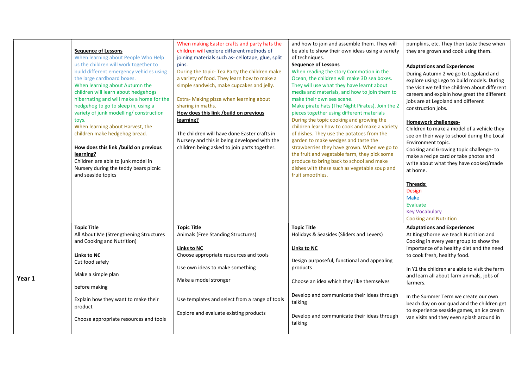|        | <b>Sequence of Lessons</b><br>When learning about People Who Help<br>us the children will work together to<br>build different emergency vehicles using<br>the large cardboard boxes.<br>When learning about Autumn the<br>children will learn about hedgehogs<br>hibernating and will make a home for the<br>hedgehog to go to sleep in, using a<br>variety of junk modelling/construction<br>toys.<br>When learning about Harvest, the<br>children make hedgehog bread.<br>How does this link /build on previous<br>learning?<br>Children are able to junk model in<br>Nursery during the teddy bears picnic<br>and seaside topics | When making Easter crafts and party hats the<br>children will explore different methods of<br>joining materials such as- cellotape, glue, split<br>pins.<br>During the topic- Tea Party the children make<br>a variety of food. They learn how to make a<br>simple sandwich, make cupcakes and jelly.<br>Extra- Making pizza when learning about<br>sharing in maths.<br>How does this link /build on previous<br>learning?<br>The children will have done Easter crafts in<br>Nursery and this is being developed with the<br>children being asked to join parts together. | and how to join and assemble them. They will<br>be able to show their own ideas using a variety<br>of techniques.<br><b>Sequence of Lessons</b><br>When reading the story Commotion in the<br>Ocean, the children will make 3D sea boxes.<br>They will use what they have learnt about<br>media and materials, and how to join them to<br>make their own sea scene.<br>Make pirate hats (The Night Pirates). Join the 2<br>pieces together using different materials<br>During the topic cooking and growing the<br>children learn how to cook and make a variety<br>of dishes. They use the potatoes from the<br>garden to make wedges and taste the<br>strawberries they have grown. When we go to<br>the fruit and vegetable farm, they pick some<br>produce to bring back to school and make<br>dishes with these such as vegetable soup and<br>fruit smoothies. | pumpkins, etc. They then taste these when<br>they are grown and cook using them.<br><b>Adaptations and Experiences</b><br>During Autumn 2 we go to Legoland and<br>explore using Lego to build models. During<br>the visit we tell the children about different<br>careers and explain how great the different<br>jobs are at Legoland and different<br>construction jobs.<br><b>Homework challenges-</b><br>Children to make a model of a vehicle they<br>see on their way to school during the Local<br>Environment topic.<br>Cooking and Growing topic challenge-to<br>make a recipe card or take photos and<br>write about what they have cooked/made<br>at home.<br>Threads:<br>Design<br>Make<br>Evaluate<br><b>Key Vocabulary</b><br><b>Cooking and Nutrition</b> |
|--------|-------------------------------------------------------------------------------------------------------------------------------------------------------------------------------------------------------------------------------------------------------------------------------------------------------------------------------------------------------------------------------------------------------------------------------------------------------------------------------------------------------------------------------------------------------------------------------------------------------------------------------------|-----------------------------------------------------------------------------------------------------------------------------------------------------------------------------------------------------------------------------------------------------------------------------------------------------------------------------------------------------------------------------------------------------------------------------------------------------------------------------------------------------------------------------------------------------------------------------|----------------------------------------------------------------------------------------------------------------------------------------------------------------------------------------------------------------------------------------------------------------------------------------------------------------------------------------------------------------------------------------------------------------------------------------------------------------------------------------------------------------------------------------------------------------------------------------------------------------------------------------------------------------------------------------------------------------------------------------------------------------------------------------------------------------------------------------------------------------------|--------------------------------------------------------------------------------------------------------------------------------------------------------------------------------------------------------------------------------------------------------------------------------------------------------------------------------------------------------------------------------------------------------------------------------------------------------------------------------------------------------------------------------------------------------------------------------------------------------------------------------------------------------------------------------------------------------------------------------------------------------------------------|
| Year 1 | <b>Topic Title</b><br>All About Me (Strengthening Structures<br>and Cooking and Nutrition)<br>Links to NC<br>Cut food safely<br>Make a simple plan<br>before making<br>Explain how they want to make their<br>product<br>Choose appropriate resources and tools                                                                                                                                                                                                                                                                                                                                                                     | <b>Topic Title</b><br>Animals (Free Standing Structures)<br>Links to NC<br>Choose appropriate resources and tools<br>Use own ideas to make something<br>Make a model stronger<br>Use templates and select from a range of tools<br>Explore and evaluate existing products                                                                                                                                                                                                                                                                                                   | <b>Topic Title</b><br>Holidays & Seasides (Sliders and Levers)<br>Links to NC<br>Design purposeful, functional and appealing<br>products<br>Choose an idea which they like themselves<br>Develop and communicate their ideas through<br>talking<br>Develop and communicate their ideas through<br>talking                                                                                                                                                                                                                                                                                                                                                                                                                                                                                                                                                            | <b>Adaptations and Experiences</b><br>At Kingsthorne we teach Nutrition and<br>Cooking in every year group to show the<br>importance of a healthy diet and the need<br>to cook fresh, healthy food.<br>In Y1 the children are able to visit the farm<br>and learn all about farm animals, jobs of<br>farmers.<br>In the Summer Term we create our own<br>beach day on our quad and the children get<br>to experience seaside games, an ice cream<br>van visits and they even splash around in                                                                                                                                                                                                                                                                            |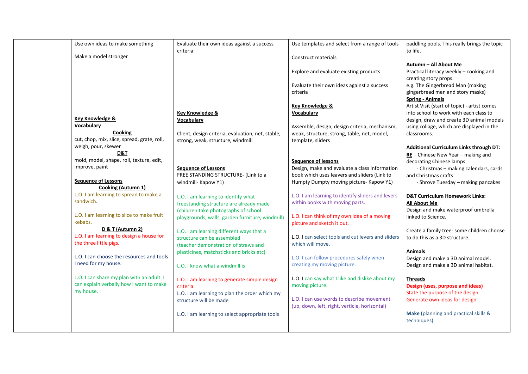| Use own ideas to make something             | Evaluate their own ideas against a success<br>criteria | Use templates and select from a range of tools     | paddling pools. This really brings the topic<br>to life. |
|---------------------------------------------|--------------------------------------------------------|----------------------------------------------------|----------------------------------------------------------|
| Make a model stronger                       |                                                        | Construct materials                                |                                                          |
|                                             |                                                        |                                                    |                                                          |
|                                             |                                                        |                                                    | Autumn - All About Me                                    |
|                                             |                                                        | Explore and evaluate existing products             | Practical literacy weekly - cooking and                  |
|                                             |                                                        |                                                    | creating story props.                                    |
|                                             |                                                        | Evaluate their own ideas against a success         | e.g. The Gingerbread Man (making                         |
|                                             |                                                        | criteria                                           | gingerbread men and story masks)                         |
|                                             |                                                        |                                                    | <b>Spring - Animals</b>                                  |
|                                             |                                                        |                                                    |                                                          |
|                                             |                                                        | Key Knowledge &                                    | Artist Visit (start of topic) - artist comes             |
|                                             | <b>Key Knowledge &amp;</b>                             | Vocabulary                                         | into school to work with each class to                   |
| <b>Key Knowledge &amp;</b>                  | Vocabulary                                             |                                                    | design, draw and create 3D animal models                 |
| Vocabulary                                  |                                                        | Assemble, design, design criteria, mechanism,      | using collage, which are displayed in the                |
| Cooking                                     | Client, design criteria, evaluation, net, stable,      | weak, structure, strong, table, net, model,        | classrooms.                                              |
| cut, chop, mix, slice, spread, grate, roll, | strong, weak, structure, windmill                      | template, sliders                                  |                                                          |
| weigh, pour, skewer                         |                                                        |                                                    | <b>Additional Curriculum Links through DT:</b>           |
| D&T                                         |                                                        |                                                    |                                                          |
| mold, model, shape, roll, texture, edit,    |                                                        |                                                    | $RE$ – Chinese New Year – making and                     |
|                                             |                                                        | <b>Sequence of lessons</b>                         | decorating Chinese lamps                                 |
| improve, paint                              | <b>Sequence of Lessons</b>                             | Design, make and evaluate a class information      | - Christmas - making calendars, cards                    |
|                                             | FREE STANDING STRUCTURE- (Link to a                    | book which uses leavers and sliders (Link to       | and Christmas crafts                                     |
| <b>Sequence of Lessons</b>                  | windmill- Kapow Y1)                                    | Humpty Dumpty moving picture- Kapow Y1)            | - Shrove Tuesday - making pancakes                       |
| <b>Cooking (Autumn 1)</b>                   |                                                        |                                                    |                                                          |
| L.O. I am learning to spread to make a      | L.O. I am learning to identify what                    | L.O. I am learning to identify sliders and levers  | <b>D&amp;T Curriculum Homework Links:</b>                |
| sandwich.                                   |                                                        | within books with moving parts.                    |                                                          |
|                                             | freestanding structure are already made                |                                                    | <b>All About Me</b>                                      |
| L.O. I am learning to slice to make fruit   | (children take photographs of school                   |                                                    | Design and make waterproof umbrella                      |
|                                             | playgrounds, walls, garden furniture, windmill)        | L.O. I can think of my own idea of a moving        | linked to Science.                                       |
| kebabs.                                     |                                                        | picture and sketch it out.                         |                                                          |
| D & T (Autumn 2)                            | L.O. I am learning different ways that a               |                                                    | Create a family tree-some children choose                |
| L.O. I am learning to design a house for    | structure can be assembled                             | L.O. I can select tools and cut levers and sliders | to do this as a 3D structure.                            |
| the three little pigs.                      | (teacher demonstration of straws and                   | which will move.                                   |                                                          |
|                                             | plasticines, matchsticks and bricks etc)               |                                                    | <b>Animals</b>                                           |
| L.O. I can choose the resources and tools   |                                                        | L.O. I can follow procedures safely when           | Design and make a 3D animal model.                       |
| I need for my house.                        |                                                        | creating my moving picture.                        |                                                          |
|                                             | L.O. I know what a windmill is                         |                                                    | Design and make a 3D animal habitat.                     |
| L.O. I can share my plan with an adult. I   |                                                        |                                                    |                                                          |
|                                             | L.O. I am learning to generate simple design           | L.O. I can say what I like and dislike about my    | <b>Threads</b>                                           |
| can explain verbally how I want to make     | criteria                                               | moving picture.                                    | Design (uses, purpose and ideas)                         |
| my house.                                   | L.O. I am learning to plan the order which my          |                                                    | State the purpose of the design                          |
|                                             | structure will be made                                 | L.O. I can use words to describe movement          | Generate own ideas for design                            |
|                                             |                                                        | (up, down, left, right, verticle, horizontal)      |                                                          |
|                                             | L.O. I am learning to select appropriate tools         |                                                    | Make (planning and practical skills &                    |
|                                             |                                                        |                                                    | techniques)                                              |
|                                             |                                                        |                                                    |                                                          |
|                                             |                                                        |                                                    |                                                          |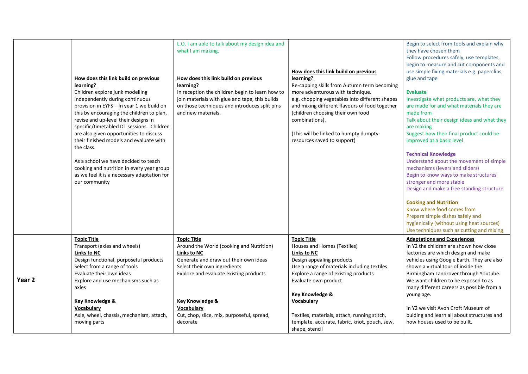| How does this link build on previous<br>learning?<br>Children explore junk modelling<br>independently during continuous<br>provision in EYFS - In year 1 we build on<br>this by encouraging the children to plan,<br>revise and up-level their designs in<br>specific/timetabled DT sessions. Children<br>are also given opportunities to discuss<br>their finished models and evaluate with<br>the class.<br>As a school we have decided to teach<br>cooking and nutrition in every year group<br>as we feel it is a necessary adaptation for<br>our community | L.O. I am able to talk about my design idea and<br>what I am making.<br>How does this link build on previous<br>learning?<br>In reception the children begin to learn how to<br>join materials with glue and tape, this builds<br>on those techniques and introduces split pins<br>and new materials.         | How does this link build on previous<br>learning?<br>Re-capping skills from Autumn term becoming<br>more adventurous with technique.<br>e.g. chopping vegetables into different shapes<br>and mixing different flavours of food together<br>(children choosing their own food<br>combinations).<br>(This will be linked to humpty dumpty-<br>resources saved to support)           | Begin to select from tools and explain why<br>they have chosen them<br>Follow procedures safely, use templates,<br>begin to measure and cut components and<br>use simple fixing materials e.g. paperclips,<br>glue and tape<br><b>Evaluate</b><br>Investigate what products are, what they<br>are made for and what materials they are<br>made from<br>Talk about their design ideas and what they<br>are making<br>Suggest how their final product could be<br>improved at a basic level<br><b>Technical Knowledge</b><br>Understand about the movement of simple<br>mechanisms (levers and sliders)<br>Begin to know ways to make structures<br>stronger and more stable<br>Design and make a free standing structure<br><b>Cooking and Nutrition</b><br>Know where food comes from<br>Prepare simple dishes safely and<br>hygienically (without using heat sources)<br>Use techniques such as cutting and mixing |
|-----------------------------------------------------------------------------------------------------------------------------------------------------------------------------------------------------------------------------------------------------------------------------------------------------------------------------------------------------------------------------------------------------------------------------------------------------------------------------------------------------------------------------------------------------------------|---------------------------------------------------------------------------------------------------------------------------------------------------------------------------------------------------------------------------------------------------------------------------------------------------------------|------------------------------------------------------------------------------------------------------------------------------------------------------------------------------------------------------------------------------------------------------------------------------------------------------------------------------------------------------------------------------------|---------------------------------------------------------------------------------------------------------------------------------------------------------------------------------------------------------------------------------------------------------------------------------------------------------------------------------------------------------------------------------------------------------------------------------------------------------------------------------------------------------------------------------------------------------------------------------------------------------------------------------------------------------------------------------------------------------------------------------------------------------------------------------------------------------------------------------------------------------------------------------------------------------------------|
| <b>Topic Title</b><br>Transport (axles and wheels)<br>Links to NC<br>Design functional, purposeful products<br>Select from a range of tools<br>Evaluate their own ideas<br>Year <sub>2</sub><br>Explore and use mechanisms such as<br>axles<br><b>Key Knowledge &amp;</b><br><b>Vocabulary</b><br>Axle, wheel, chassis, mechanism, attach,<br>moving parts                                                                                                                                                                                                      | <b>Topic Title</b><br>Around the World (cooking and Nutrition)<br><b>Links to NC</b><br>Generate and draw out their own ideas<br>Select their own ingredients<br>Explore and evaluate existing products<br><b>Key Knowledge &amp;</b><br>Vocabulary<br>Cut, chop, slice, mix, purposeful, spread,<br>decorate | <b>Topic Title</b><br>Houses and Homes (Textiles)<br><b>Links to NC</b><br>Design appealing products<br>Use a range of materials including textiles<br>Explore a range of existing products<br>Evaluate own product<br><b>Key Knowledge &amp;</b><br>Vocabulary<br>Textiles, materials, attach, running stitch,<br>template, accurate, fabric, knot, pouch, sew,<br>shape, stencil | <b>Adaptations and Experiences</b><br>In Y2 the children are shown how close<br>factories are which design and make<br>vehicles using Google Earth. They are also<br>shown a virtual tour of inside the<br>Birmingham Landrover through Youtube.<br>We want children to be exposed to as<br>many different careers as possible from a<br>young age.<br>In Y2 we visit Avon Croft Museum of<br>bulding and learn all about structures and<br>how houses used to be built.                                                                                                                                                                                                                                                                                                                                                                                                                                            |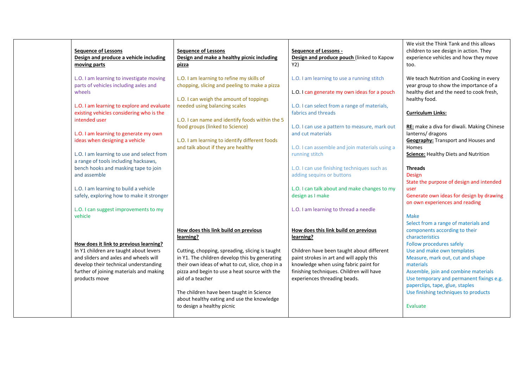| <b>Sequence of Lessons</b><br>Design and produce a vehicle including<br>moving parts                                                                                | <b>Sequence of Lessons</b><br>Design and make a healthy picnic including<br>pizza                                                                                                                      | <b>Sequence of Lessons -</b><br>Design and produce pouch (linked to Kapow<br>Y2)                                                                                           | We visit the Think Tank and this allows<br>children to see design in action. They<br>experience vehicles and how they move<br>too.             |
|---------------------------------------------------------------------------------------------------------------------------------------------------------------------|--------------------------------------------------------------------------------------------------------------------------------------------------------------------------------------------------------|----------------------------------------------------------------------------------------------------------------------------------------------------------------------------|------------------------------------------------------------------------------------------------------------------------------------------------|
| L.O. I am learning to investigate moving<br>parts of vehicles including axles and<br>wheels<br>L.O. I am learning to explore and evaluate                           | L.O. I am learning to refine my skills of<br>chopping, slicing and peeling to make a pizza<br>L.O. I can weigh the amount of toppings<br>needed using balancing scales                                 | L.O. I am learning to use a running stitch<br>L.O. I can generate my own ideas for a pouch<br>L.O. I can select from a range of materials,                                 | We teach Nutrition and Cooking in every<br>year group to show the importance of a<br>healthy diet and the need to cook fresh,<br>healthy food. |
| existing vehicles considering who is the<br>intended user                                                                                                           | L.O. I can name and identify foods within the 5<br>food groups (linked to Science)                                                                                                                     | fabrics and threads<br>L.O. I can use a pattern to measure, mark out                                                                                                       | <b>Curriculum Links:</b><br>RE: make a diva for diwali. Making Chinese                                                                         |
| L.O. I am learning to generate my own<br>ideas when designing a vehicle                                                                                             | L.O. I am learning to identify different foods<br>and talk about if they are healthy                                                                                                                   | and cut materials<br>L.O. I can assemble and join materials using a                                                                                                        | lanterns/ dragons<br><b>Geography:</b> Transport and Houses and<br>Homes                                                                       |
| L.O. I am learning to use and select from<br>a range of tools including hacksaws,<br>bench hooks and masking tape to join                                           |                                                                                                                                                                                                        | running stitch<br>L.O. I can use finishing techniques such as                                                                                                              | Science: Healthy Diets and Nutrition<br><b>Threads</b>                                                                                         |
| and assemble<br>L.O. I am learning to build a vehicle                                                                                                               |                                                                                                                                                                                                        | adding sequins or buttons<br>L.O. I can talk about and make changes to my                                                                                                  | Design<br>State the purpose of design and intended<br>user                                                                                     |
| safely, exploring how to make it stronger<br>L.O. I can suggest improvements to my                                                                                  |                                                                                                                                                                                                        | design as I make<br>L.O. I am learning to thread a needle                                                                                                                  | Generate own ideas for design by drawing<br>on own experiences and reading                                                                     |
| vehicle<br>How does it link to previous learning?                                                                                                                   | How does this link build on previous<br>learning?                                                                                                                                                      | How does this link build on previous<br>learning?                                                                                                                          | <b>Make</b><br>Select from a range of materials and<br>components according to their<br>characteristics<br>Follow procedures safely            |
| In Y1 children are taught about levers<br>and sliders and axles and wheels will<br>develop their technical understanding<br>further of joining materials and making | Cutting, chopping, spreading, slicing is taught<br>in Y1. The children develop this by generating<br>their own ideas of what to cut, slice, chop in a<br>pizza and begin to use a heat source with the | Children have been taught about different<br>paint strokes in art and will apply this<br>knowledge when using fabric paint for<br>finishing techniques. Children will have | Use and make own templates<br>Measure, mark out, cut and shape<br>materials<br>Assemble, join and combine materials                            |
| products move                                                                                                                                                       | aid of a teacher<br>The children have been taught in Science                                                                                                                                           | experiences threading beads.                                                                                                                                               | Use temporary and permanent fixings e.g.<br>paperclips, tape, glue, staples<br>Use finishing techniques to products                            |
|                                                                                                                                                                     | about healthy eating and use the knowledge<br>to design a healthy picnic                                                                                                                               |                                                                                                                                                                            | Evaluate                                                                                                                                       |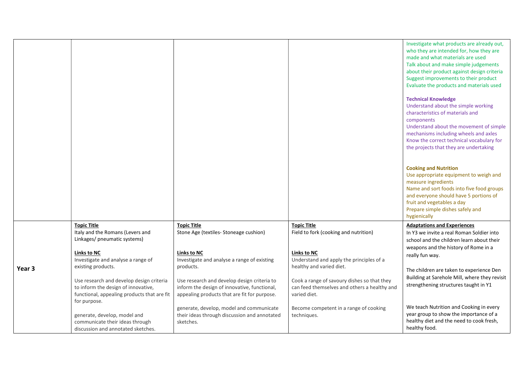|                   |                                                                                                                                                                                                                                                             |                                                                                                                                                                                                                                       |                                                                                                                                                                                                                                                   | Investigate what products are already out,<br>who they are intended for, how they are<br>made and what materials are used<br>Talk about and make simple judgements<br>about their product against design criteria<br>Suggest improvements to their product<br>Evaluate the products and materials used<br><b>Technical Knowledge</b><br>Understand about the simple working<br>characteristics of materials and<br>components<br>Understand about the movement of simple<br>mechanisms including wheels and axles<br>Know the correct technical vocabulary for<br>the projects that they are undertaking<br><b>Cooking and Nutrition</b><br>Use appropriate equipment to weigh and<br>measure ingredients<br>Name and sort foods into five food groups<br>and everyone should have 5 portions of<br>fruit and vegetables a day<br>Prepare simple dishes safely and<br>hygienically |
|-------------------|-------------------------------------------------------------------------------------------------------------------------------------------------------------------------------------------------------------------------------------------------------------|---------------------------------------------------------------------------------------------------------------------------------------------------------------------------------------------------------------------------------------|---------------------------------------------------------------------------------------------------------------------------------------------------------------------------------------------------------------------------------------------------|------------------------------------------------------------------------------------------------------------------------------------------------------------------------------------------------------------------------------------------------------------------------------------------------------------------------------------------------------------------------------------------------------------------------------------------------------------------------------------------------------------------------------------------------------------------------------------------------------------------------------------------------------------------------------------------------------------------------------------------------------------------------------------------------------------------------------------------------------------------------------------|
| Year <sub>3</sub> | <b>Topic Title</b><br>Italy and the Romans (Levers and<br>Linkages/ pneumatic systems)<br><b>Links to NC</b><br>Investigate and analyse a range of<br>existing products.<br>Use research and develop design criteria<br>to inform the design of innovative, | <b>Topic Title</b><br>Stone Age (textiles-Stoneage cushion)<br>Links to NC<br>Investigate and analyse a range of existing<br>products.<br>Use research and develop design criteria to<br>inform the design of innovative, functional, | <b>Topic Title</b><br>Field to fork (cooking and nutrition)<br>Links to NC<br>Understand and apply the principles of a<br>healthy and varied diet.<br>Cook a range of savoury dishes so that they<br>can feed themselves and others a healthy and | <b>Adaptations and Experiences</b><br>In Y3 we invite a real Roman Soldier into<br>school and the children learn about their<br>weapons and the history of Rome in a<br>really fun way.<br>The children are taken to experience Den<br>Building at Sarehole Mill, where they revisit<br>strengthening structures taught in Y1                                                                                                                                                                                                                                                                                                                                                                                                                                                                                                                                                      |
|                   | functional, appealing products that are fit<br>for purpose.<br>generate, develop, model and<br>communicate their ideas through<br>discussion and annotated sketches.                                                                                        | appealing products that are fit for purpose.<br>generate, develop, model and communicate<br>their ideas through discussion and annotated<br>sketches.                                                                                 | varied diet.<br>Become competent in a range of cooking<br>techniques.                                                                                                                                                                             | We teach Nutrition and Cooking in every<br>year group to show the importance of a<br>healthy diet and the need to cook fresh,<br>healthy food.                                                                                                                                                                                                                                                                                                                                                                                                                                                                                                                                                                                                                                                                                                                                     |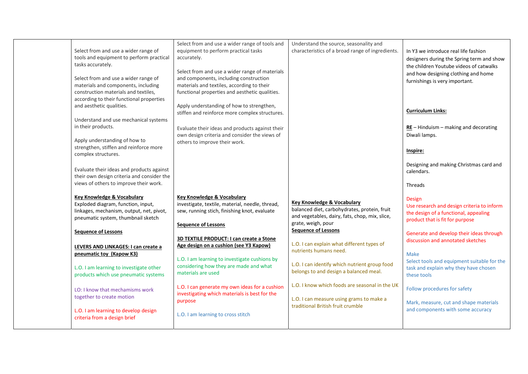| Select from and use a wider range of<br>tools and equipment to perform practical<br>tasks accurately.<br>Select from and use a wider range of<br>materials and components, including<br>construction materials and textiles,                                   | Select from and use a wider range of tools and<br>equipment to perform practical tasks<br>accurately.<br>Select from and use a wider range of materials<br>and components, including construction<br>materials and textiles, according to their<br>functional properties and aesthetic qualities.  | Understand the source, seasonality and<br>characteristics of a broad range of ingredients.                                                                                                                                                                          | In Y3 we introduce real life fashion<br>designers during the Spring term and show<br>the children Youtube videos of catwalks<br>and how designing clothing and home<br>furnishings is very important.                                                                           |
|----------------------------------------------------------------------------------------------------------------------------------------------------------------------------------------------------------------------------------------------------------------|----------------------------------------------------------------------------------------------------------------------------------------------------------------------------------------------------------------------------------------------------------------------------------------------------|---------------------------------------------------------------------------------------------------------------------------------------------------------------------------------------------------------------------------------------------------------------------|---------------------------------------------------------------------------------------------------------------------------------------------------------------------------------------------------------------------------------------------------------------------------------|
| according to their functional properties<br>and aesthetic qualities.<br>Understand and use mechanical systems<br>in their products.<br>Apply understanding of how to                                                                                           | Apply understanding of how to strengthen,<br>stiffen and reinforce more complex structures.<br>Evaluate their ideas and products against their<br>own design criteria and consider the views of<br>others to improve their work.                                                                   |                                                                                                                                                                                                                                                                     | <b>Curriculum Links:</b><br>$RE$ – Hinduism – making and decorating<br>Diwali lamps.                                                                                                                                                                                            |
| strengthen, stiffen and reinforce more<br>complex structures.<br>Evaluate their ideas and products against<br>their own design criteria and consider the<br>views of others to improve their work.                                                             |                                                                                                                                                                                                                                                                                                    |                                                                                                                                                                                                                                                                     | Inspire:<br>Designing and making Christmas card and<br>calendars.<br>Threads                                                                                                                                                                                                    |
| <b>Key Knowledge &amp; Vocabulary</b><br>Exploded diagram, function, input,<br>linkages, mechanism, output, net, pivot,<br>pneumatic system, thumbnail sketch<br><b>Sequence of Lessons</b><br>LEVERS AND LINKAGES: I can create a<br>pneumatic toy (Kapow K3) | Key Knowledge & Vocabulary<br>investigate, textile, material, needle, thread,<br>sew, running stich, finishing knot, evaluate<br><b>Sequence of Lessons</b><br>3D TEXTILE PRODUCT: I can create a Stone<br>Age design on a cushion (see Y3 Kapow)<br>L.O. I am learning to investigate cushions by | <b>Key Knowledge &amp; Vocabulary</b><br>balanced diet, carbohydrates, protein, fruit<br>and vegetables, dairy, fats, chop, mix, slice,<br>grate, weigh, pour<br><b>Sequence of Lessons</b><br>L.O. I can explain what different types of<br>nutrients humans need. | Design<br>Use research and design criteria to inform<br>the design of a functional, appealing<br>product that is fit for purpose<br>Generate and develop their ideas through<br>discussion and annotated sketches<br><b>Make</b><br>Select tools and equipment suitable for the |
| L.O. I am learning to investigate other<br>products which use pneumatic systems<br>LO: I know that mechamisms work                                                                                                                                             | considering how they are made and what<br>materials are used<br>L.O. I can generate my own ideas for a cushion                                                                                                                                                                                     | L.O. I can identify which nutrient group food<br>belongs to and design a balanced meal.<br>L.O. I know which foods are seasonal in the UK                                                                                                                           | task and explain why they have chosen<br>these tools<br>Follow procedures for safety                                                                                                                                                                                            |
| together to create motion<br>L.O. I am learning to develop design<br>criteria from a design brief                                                                                                                                                              | investigating which materials is best for the<br>purpose<br>L.O. I am learning to cross stitch                                                                                                                                                                                                     | L.O. I can measure using grams to make a<br>traditional British fruit crumble                                                                                                                                                                                       | Mark, measure, cut and shape materials<br>and components with some accuracy                                                                                                                                                                                                     |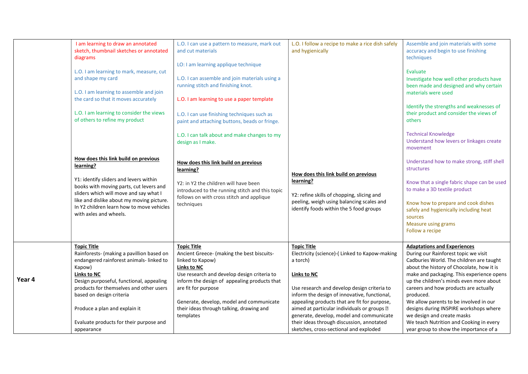|        | I am learning to draw an annotated<br>sketch, thumbnail sketches or annotated<br>diagrams<br>L.O. I am learning to mark, measure, cut<br>and shape my card<br>L.O. I am learning to assemble and join<br>the card so that it moves accurately<br>L.O. I am learning to consider the views<br>of others to refine my product<br>How does this link build on previous<br>learning?<br>Y1: identify sliders and levers within<br>books with moving parts, cut levers and<br>sliders which will move and say what I<br>like and dislike about my moving picture.<br>In Y2 children learn how to move vehicles<br>with axles and wheels. | L.O. I can use a pattern to measure, mark out<br>and cut materials<br>LO: I am learning applique technique<br>L.O. I can assemble and join materials using a<br>running stitch and finishing knot.<br>L.O. I am learning to use a paper template<br>L.O. I can use finishing techniques such as<br>paint and attaching buttons, beads or fringe.<br>L.O. I can talk about and make changes to my<br>design as I make.<br>How does this link build on previous<br>learning?<br>Y2: in Y2 the children will have been<br>introduced to the running stitch and this topic<br>follows on with cross stitch and applique<br>techniques | L.O. I follow a recipe to make a rice dish safely<br>and hygienically<br>How does this link build on previous<br>learning?<br>Y2: refine skills of chopping, slicing and<br>peeling, weigh using balancing scales and<br>identify foods within the 5 food groups                                                                                                                                                                       | Assemble and join materials with some<br>accuracy and begin to use finishing<br>techniques<br>Evaluate<br>Investigate how well other products have<br>been made and designed and why certain<br>materials were used<br>Identify the strengths and weaknesses of<br>their product and consider the views of<br>others<br><b>Technical Knowledge</b><br>Understand how levers or linkages create<br>movement<br>Understand how to make strong, stiff shell<br>structures<br>Know that a single fabric shape can be used<br>to make a 3D textile product<br>Know how to prepare and cook dishes<br>safely and hygienically including heat<br>sources<br>Measure using grams<br>Follow a recipe |
|--------|-------------------------------------------------------------------------------------------------------------------------------------------------------------------------------------------------------------------------------------------------------------------------------------------------------------------------------------------------------------------------------------------------------------------------------------------------------------------------------------------------------------------------------------------------------------------------------------------------------------------------------------|-----------------------------------------------------------------------------------------------------------------------------------------------------------------------------------------------------------------------------------------------------------------------------------------------------------------------------------------------------------------------------------------------------------------------------------------------------------------------------------------------------------------------------------------------------------------------------------------------------------------------------------|----------------------------------------------------------------------------------------------------------------------------------------------------------------------------------------------------------------------------------------------------------------------------------------------------------------------------------------------------------------------------------------------------------------------------------------|---------------------------------------------------------------------------------------------------------------------------------------------------------------------------------------------------------------------------------------------------------------------------------------------------------------------------------------------------------------------------------------------------------------------------------------------------------------------------------------------------------------------------------------------------------------------------------------------------------------------------------------------------------------------------------------------|
| Year 4 | <b>Topic Title</b><br>Rainforests- (making a pavillion based on<br>endangered rainforest animals-linked to<br>Kapow)<br><b>Links to NC</b><br>Design purposeful, functional, appealing<br>products for themselves and other users<br>based on design criteria<br>Produce a plan and explain it<br>Evaluate products for their purpose and<br>appearance                                                                                                                                                                                                                                                                             | <b>Topic Title</b><br>Ancient Greece- (making the best biscuits-<br>linked to Kapow)<br><b>Links to NC</b><br>Use research and develop design criteria to<br>inform the design of appealing products that<br>are fit for purpose<br>Generate, develop, model and communicate<br>their ideas through talking, drawing and<br>templates                                                                                                                                                                                                                                                                                             | <b>Topic Title</b><br>Electricity (science)-(Linked to Kapow-making<br>a torch)<br><b>Links to NC</b><br>Use research and develop design criteria to<br>inform the design of innovative, functional,<br>appealing products that are fit for purpose,<br>aimed at particular individuals or groups ?<br>generate, develop, model and communicate<br>their ideas through discussion, annotated<br>sketches, cross-sectional and exploded | <b>Adaptations and Experiences</b><br>During our Rainforest topic we visit<br>Cadburies World. The children are taught<br>about the history of Chocolate, how it is<br>make and packaging. This experience opens<br>up the children's minds even more about<br>careers and how products are actually<br>produced.<br>We allow parents to be involved in our<br>designs during INSPIRE workshops where<br>we design and create masks<br>We teach Nutrition and Cooking in every<br>year group to show the importance of a                                                                                                                                                                    |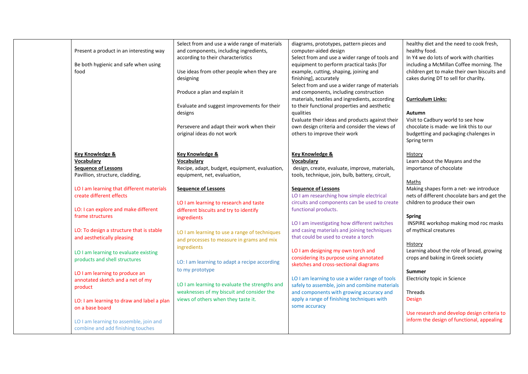| food                            | Present a product in an interesting way<br>Be both hygienic and safe when using | Select from and use a wide range of materials<br>and components, including ingredients,<br>according to their characteristics<br>Use ideas from other people when they are<br>designing<br>Produce a plan and explain it<br>Evaluate and suggest improvements for their<br>designs<br>Persevere and adapt their work when their<br>original ideas do not work | diagrams, prototypes, pattern pieces and<br>computer-aided design<br>Select from and use a wider range of tools and<br>equipment to perform practical tasks [for<br>example, cutting, shaping, joining and<br>finishing], accurately<br>Select from and use a wider range of materials<br>and components, including construction<br>materials, textiles and ingredients, according<br>to their functional properties and aesthetic<br>qualities<br>Evaluate their ideas and products against their<br>own design criteria and consider the views of<br>others to improve their work | healthy diet and the need to cook fresh,<br>healthy food.<br>In Y4 we do lots of work with charities<br>including a McMillan Coffee morning. The<br>children get to make their own biscuits and<br>cakes during DT to sell for charilty.<br><b>Curriculum Links:</b><br>Autumn<br>Visit to Cadbury world to see how<br>chocolate is made- we link this to our<br>budgetting and packaging chalenges in<br>Spring term |
|---------------------------------|---------------------------------------------------------------------------------|---------------------------------------------------------------------------------------------------------------------------------------------------------------------------------------------------------------------------------------------------------------------------------------------------------------------------------------------------------------|-------------------------------------------------------------------------------------------------------------------------------------------------------------------------------------------------------------------------------------------------------------------------------------------------------------------------------------------------------------------------------------------------------------------------------------------------------------------------------------------------------------------------------------------------------------------------------------|-----------------------------------------------------------------------------------------------------------------------------------------------------------------------------------------------------------------------------------------------------------------------------------------------------------------------------------------------------------------------------------------------------------------------|
| <b>Key Knowledge &amp;</b>      |                                                                                 | <b>Key Knowledge &amp;</b>                                                                                                                                                                                                                                                                                                                                    | Key Knowledge &                                                                                                                                                                                                                                                                                                                                                                                                                                                                                                                                                                     | History                                                                                                                                                                                                                                                                                                                                                                                                               |
| Vocabulary                      |                                                                                 | Vocabulary                                                                                                                                                                                                                                                                                                                                                    | Vocabulary                                                                                                                                                                                                                                                                                                                                                                                                                                                                                                                                                                          | Learn about the Mayans and the                                                                                                                                                                                                                                                                                                                                                                                        |
| <b>Sequence of Lessons</b>      |                                                                                 | Recipe, adapt, budget, equipment, evaluation,                                                                                                                                                                                                                                                                                                                 | design, create, evaluate, improve, materials,                                                                                                                                                                                                                                                                                                                                                                                                                                                                                                                                       | importance of chocolate                                                                                                                                                                                                                                                                                                                                                                                               |
| Pavillion, structure, cladding, |                                                                                 | equipment, net, evaluation,                                                                                                                                                                                                                                                                                                                                   | tools, technique, join, bulb, battery, circuit,                                                                                                                                                                                                                                                                                                                                                                                                                                                                                                                                     |                                                                                                                                                                                                                                                                                                                                                                                                                       |
|                                 |                                                                                 |                                                                                                                                                                                                                                                                                                                                                               |                                                                                                                                                                                                                                                                                                                                                                                                                                                                                                                                                                                     | Maths                                                                                                                                                                                                                                                                                                                                                                                                                 |
| create different effects        | LO I am learning that different materials                                       | <b>Sequence of Lessons</b><br>LO I am learning to research and taste                                                                                                                                                                                                                                                                                          | <b>Sequence of Lessons</b><br>LO I am researching how simple electrical<br>circuits and components can be used to create                                                                                                                                                                                                                                                                                                                                                                                                                                                            | Making shapes form a net- we introduce<br>nets of different chocolate bars and get the<br>children to produce their own                                                                                                                                                                                                                                                                                               |
|                                 | LO: I can explore and make different                                            | different biscuits and try to identify                                                                                                                                                                                                                                                                                                                        | functional products.                                                                                                                                                                                                                                                                                                                                                                                                                                                                                                                                                                |                                                                                                                                                                                                                                                                                                                                                                                                                       |
| frame structures                | LO: To design a structure that is stable                                        | ingredients                                                                                                                                                                                                                                                                                                                                                   | LO I am investigating how different switches<br>and casing materials and joining techniques                                                                                                                                                                                                                                                                                                                                                                                                                                                                                         | <b>Spring</b><br>INSPIRE workshop making mod roc masks<br>of mythical creatures                                                                                                                                                                                                                                                                                                                                       |
| and aesthetically pleasing      |                                                                                 | LO I am learning to use a range of techniques<br>and processes to measure in grams and mix                                                                                                                                                                                                                                                                    | that could be used to create a torch                                                                                                                                                                                                                                                                                                                                                                                                                                                                                                                                                | History                                                                                                                                                                                                                                                                                                                                                                                                               |
|                                 | LO I am learning to evaluate existing                                           | ingredients                                                                                                                                                                                                                                                                                                                                                   | LO I am designing my own torch and                                                                                                                                                                                                                                                                                                                                                                                                                                                                                                                                                  | Learning about the role of bread, growing                                                                                                                                                                                                                                                                                                                                                                             |
| products and shell structures   |                                                                                 | LO: I am learning to adapt a recipe according                                                                                                                                                                                                                                                                                                                 | considering its purpose using annotated<br>sketches and cross-sectional diagrams                                                                                                                                                                                                                                                                                                                                                                                                                                                                                                    | crops and baking in Greek society                                                                                                                                                                                                                                                                                                                                                                                     |
|                                 | LO I am learning to produce an                                                  | to my prototype                                                                                                                                                                                                                                                                                                                                               |                                                                                                                                                                                                                                                                                                                                                                                                                                                                                                                                                                                     | <b>Summer</b>                                                                                                                                                                                                                                                                                                                                                                                                         |
|                                 | annotated sketch and a net of my                                                |                                                                                                                                                                                                                                                                                                                                                               | LO I am learning to use a wider range of tools                                                                                                                                                                                                                                                                                                                                                                                                                                                                                                                                      | Electricity topic in Science                                                                                                                                                                                                                                                                                                                                                                                          |
| product                         |                                                                                 | LO I am learning to evaluate the strengths and                                                                                                                                                                                                                                                                                                                | safely to assemble, join and combine materials                                                                                                                                                                                                                                                                                                                                                                                                                                                                                                                                      |                                                                                                                                                                                                                                                                                                                                                                                                                       |
|                                 |                                                                                 | weaknesses of my biscuit and consider the                                                                                                                                                                                                                                                                                                                     | and components with growing accuracy and                                                                                                                                                                                                                                                                                                                                                                                                                                                                                                                                            | <b>Threads</b>                                                                                                                                                                                                                                                                                                                                                                                                        |
|                                 | LO: I am learning to draw and label a plan                                      | views of others when they taste it.                                                                                                                                                                                                                                                                                                                           | apply a range of finishing techniques with                                                                                                                                                                                                                                                                                                                                                                                                                                                                                                                                          | <b>Design</b>                                                                                                                                                                                                                                                                                                                                                                                                         |
| on a base board                 |                                                                                 |                                                                                                                                                                                                                                                                                                                                                               | some accuracy                                                                                                                                                                                                                                                                                                                                                                                                                                                                                                                                                                       |                                                                                                                                                                                                                                                                                                                                                                                                                       |
|                                 | LO I am learning to assemble, join and<br>combine and add finishing touches     |                                                                                                                                                                                                                                                                                                                                                               |                                                                                                                                                                                                                                                                                                                                                                                                                                                                                                                                                                                     | Use research and develop design criteria to<br>inform the design of functional, appealing                                                                                                                                                                                                                                                                                                                             |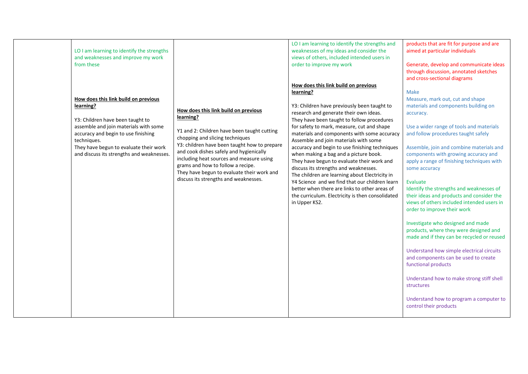| LO I am learning to identify the strengths<br>and weaknesses and improve my work<br>from these<br>How does this link build on previous<br>learning?<br>Y3: Children have been taught to<br>assemble and join materials with some<br>accuracy and begin to use finishing<br>techniques.<br>They have begun to evaluate their work<br>and discuss its strengths and weaknesses. | How does this link build on previous<br>learning?<br>Y1 and 2: Children have been taught cutting<br>chopping and slicing techniques<br>Y3: children have been taught how to prepare<br>and cook dishes safely and hygienically<br>including heat sources and measure using<br>grams and how to follow a recipe.<br>They have begun to evaluate their work and<br>discuss its strengths and weaknesses. | LO I am learning to identify the strengths and<br>weaknesses of my ideas and consider the<br>views of others, included intended users in<br>order to improve my work<br>How does this link build on previous<br>learning?<br>Y3: Children have previously been taught to<br>research and generate their own ideas.<br>They have been taught to follow procedures<br>for safety to mark, measure, cut and shape<br>materials and components with some accuracy<br>Assemble and join materials with some<br>accuracy and begin to use finishing techniques<br>when making a bag and a picture book.<br>They have begun to evaluate their work and<br>discuss its strengths and weaknesses.<br>The children are learning about Electricity in<br>Y4 Science and we find that our children learn<br>better when there are links to other areas of<br>the curriculum. Electricity is then consolidated<br>in Upper KS2. | products that are fit for purpose and are<br>aimed at particular individuals<br>Generate, develop and communicate ideas<br>through discussion, annotated sketches<br>and cross-sectional diagrams<br><b>Make</b><br>Measure, mark out, cut and shape<br>materials and components building on<br>accuracy.<br>Use a wider range of tools and materials<br>and follow procedures taught safely<br>Assemble, join and combine materials and<br>components with growing accuracy and<br>apply a range of finishing techniques with<br>some accuracy<br>Evaluate<br>Identify the strengths and weaknesses of<br>their ideas and products and consider the<br>views of others included intended users in<br>order to improve their work<br>Investigate who designed and made<br>products, where they were designed and<br>made and if they can be recycled or reused<br>Understand how simple electrical circuits<br>and components can be used to create<br>functional products |
|-------------------------------------------------------------------------------------------------------------------------------------------------------------------------------------------------------------------------------------------------------------------------------------------------------------------------------------------------------------------------------|--------------------------------------------------------------------------------------------------------------------------------------------------------------------------------------------------------------------------------------------------------------------------------------------------------------------------------------------------------------------------------------------------------|--------------------------------------------------------------------------------------------------------------------------------------------------------------------------------------------------------------------------------------------------------------------------------------------------------------------------------------------------------------------------------------------------------------------------------------------------------------------------------------------------------------------------------------------------------------------------------------------------------------------------------------------------------------------------------------------------------------------------------------------------------------------------------------------------------------------------------------------------------------------------------------------------------------------|----------------------------------------------------------------------------------------------------------------------------------------------------------------------------------------------------------------------------------------------------------------------------------------------------------------------------------------------------------------------------------------------------------------------------------------------------------------------------------------------------------------------------------------------------------------------------------------------------------------------------------------------------------------------------------------------------------------------------------------------------------------------------------------------------------------------------------------------------------------------------------------------------------------------------------------------------------------------------|
|                                                                                                                                                                                                                                                                                                                                                                               |                                                                                                                                                                                                                                                                                                                                                                                                        |                                                                                                                                                                                                                                                                                                                                                                                                                                                                                                                                                                                                                                                                                                                                                                                                                                                                                                                    | Understand how to make strong stiff shell<br>structures<br>Understand how to program a computer to<br>control their products                                                                                                                                                                                                                                                                                                                                                                                                                                                                                                                                                                                                                                                                                                                                                                                                                                               |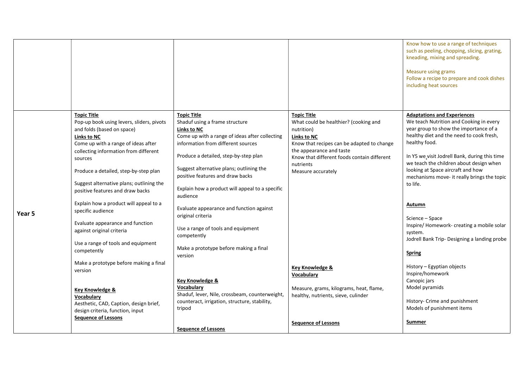|                                                                                                                                                                                                                                                                                                                                                                                                                                                                                                                                                                                                                                                                                                                                                                                                                                                                                                                                                                                 |                                                                                                                                                                                                                                                                                                                                                                                                                                                                                                                                                                                                                                                                                                                                                                                                                                                                                                        | Know how to use a range of techniques<br>such as peeling, chopping, slicing, grating,<br>kneading, mixing and spreading.<br><b>Measure using grams</b><br>Follow a recipe to prepare and cook dishes<br>including heat sources                                                                                                                                                                                                                                                                                                                                                                                                         |
|---------------------------------------------------------------------------------------------------------------------------------------------------------------------------------------------------------------------------------------------------------------------------------------------------------------------------------------------------------------------------------------------------------------------------------------------------------------------------------------------------------------------------------------------------------------------------------------------------------------------------------------------------------------------------------------------------------------------------------------------------------------------------------------------------------------------------------------------------------------------------------------------------------------------------------------------------------------------------------|--------------------------------------------------------------------------------------------------------------------------------------------------------------------------------------------------------------------------------------------------------------------------------------------------------------------------------------------------------------------------------------------------------------------------------------------------------------------------------------------------------------------------------------------------------------------------------------------------------------------------------------------------------------------------------------------------------------------------------------------------------------------------------------------------------------------------------------------------------------------------------------------------------|----------------------------------------------------------------------------------------------------------------------------------------------------------------------------------------------------------------------------------------------------------------------------------------------------------------------------------------------------------------------------------------------------------------------------------------------------------------------------------------------------------------------------------------------------------------------------------------------------------------------------------------|
| <b>Topic Title</b><br><b>Topic Title</b><br>Pop-up book using levers, sliders, pivots<br>Shaduf using a frame structure<br>and folds (based on space)<br>Links to NC<br><b>Links to NC</b><br>Come up with a range of ideas after<br>collecting information from different<br>sources<br>Produce a detailed, step-by-step plan<br>positive features and draw backs<br>Suggest alternative plans; outlining the<br>positive features and draw backs<br>audience<br>Explain how a product will appeal to a<br>specific audience<br>Year 5<br>original criteria<br>Evaluate appearance and function<br>against original criteria<br>competently<br>Use a range of tools and equipment<br>competently<br>version<br>Make a prototype before making a final<br>version<br><b>Key Knowledge &amp;</b><br>Vocabulary<br><b>Key Knowledge &amp;</b><br>Vocabulary<br>Aesthetic, CAD, Caption, design brief,<br>tripod<br>design criteria, function, input<br><b>Sequence of Lessons</b> | <b>Topic Title</b><br>What could be healthier? (cooking and<br>nutrition)<br>Come up with a range of ideas after collecting<br><b>Links to NC</b><br>information from different sources<br>Know that recipes can be adapted to change<br>the appearance and taste<br>Produce a detailed, step-by-step plan<br>Know that different foods contain different<br>nutrients<br>Suggest alternative plans; outlining the<br>Measure accurately<br>to life.<br>Explain how a product will appeal to a specific<br>Autumn<br>Evaluate appearance and function against<br>Use a range of tools and equipment<br>system.<br>Make a prototype before making a final<br><b>Spring</b><br>Key Knowledge &<br><b>Vocabulary</b><br>Measure, grams, kilograms, heat, flame,<br>Shaduf, lever, Nile, crossbeam, counterweight,<br>healthy, nutrients, sieve, culinder<br>counteract, irrigation, structure, stability, | <b>Adaptations and Experiences</b><br>We teach Nutrition and Cooking in every<br>year group to show the importance of a<br>healthy diet and the need to cook fresh,<br>healthy food.<br>In Y5 we visit Jodrell Bank, during this time<br>we teach the children about design when<br>looking at Space aircraft and how<br>mechanisms move- it really brings the topic<br>Science - Space<br>Inspire/Homework-creating a mobile solar<br>Jodrell Bank Trip- Designing a landing probe<br>History - Egyptian objects<br>Inspire/homework<br>Canopic jars<br>Model pyramids<br>History- Crime and punishment<br>Models of punishment items |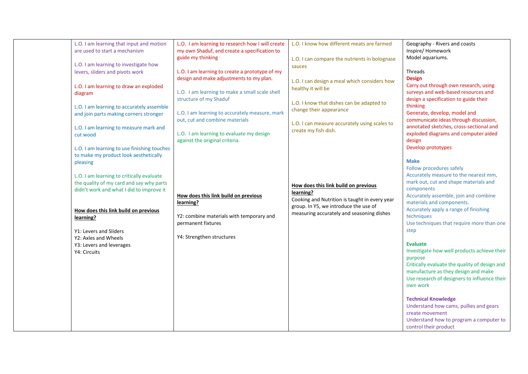| L.O. I am learning that input and motion<br>are used to start a mechanism<br>L.O. I am learning to investigate how<br>levers, sliders and pivots work<br>L.O. I am learning to draw an exploded<br>diagram<br>L.O. I am learning to accurately assemble<br>and join parts making corners stronger<br>L.O. I am learning to measure mark and<br>cut wood<br>L.O. I am learning to use finishing touches<br>to make my product look aesthetically<br>pleasing | L.O. I am learning to research how I will create<br>my own Shaduf, and create a specification to<br>guide my thinking<br>L.O. I am learning to create a prototype of my<br>design and make adjustments to my plan.<br>L.O. I am learning to make a small scale shell<br>structure of my Shaduf<br>L.O. I am learning to accurately measure, mark<br>out, cut and combine materials<br>L.O. I am learning to evaluate my design<br>against the original criteria. | L.O. I know how different meats are farmed<br>L.O. I can compare the nutrients in bolognase<br>sauces<br>L.O. I can design a meal which considers how<br>healthy it will be<br>L.O. I know that dishes can be adapted to<br>change their appearance<br>L.O. I can measure accurately using scales to<br>create my fish dish. | Geography - Rivers and coasts<br>Inspire/ Homework<br>Model aquariums.<br><b>Threads</b><br><b>Design</b><br>Carry out through own research, using<br>surveys and web-based resources and<br>design a specification to guide their<br>thinking<br>Generate, develop, model and<br>communicate ideas through discussion,<br>annotated sketches, cross-sectional and<br>exploded diagrams and computer aided<br>design<br>Develop prototypes<br><b>Make</b><br>Follow procedures safely |
|-------------------------------------------------------------------------------------------------------------------------------------------------------------------------------------------------------------------------------------------------------------------------------------------------------------------------------------------------------------------------------------------------------------------------------------------------------------|------------------------------------------------------------------------------------------------------------------------------------------------------------------------------------------------------------------------------------------------------------------------------------------------------------------------------------------------------------------------------------------------------------------------------------------------------------------|------------------------------------------------------------------------------------------------------------------------------------------------------------------------------------------------------------------------------------------------------------------------------------------------------------------------------|---------------------------------------------------------------------------------------------------------------------------------------------------------------------------------------------------------------------------------------------------------------------------------------------------------------------------------------------------------------------------------------------------------------------------------------------------------------------------------------|
| L.O. I am learning to critically evaluate<br>the quality of my card and say why parts<br>didn't work and what I did to improve it                                                                                                                                                                                                                                                                                                                           | How does this link build on previous<br>learning?                                                                                                                                                                                                                                                                                                                                                                                                                | How does this link build on previous<br>learning?<br>Cooking and Nutrition is taught in every year<br>group. In Y5, we introduce the use of                                                                                                                                                                                  | Accurately measure to the nearest mm,<br>mark out, cut and shape materials and<br>components<br>Accurately assemble, join and combine<br>materials and components.                                                                                                                                                                                                                                                                                                                    |
| How does this link build on previous<br>learning?<br>Y1: Levers and Sliders                                                                                                                                                                                                                                                                                                                                                                                 | Y2: combine materials with temporary and<br>permanent fixtures<br>Y4: Strengthen structures                                                                                                                                                                                                                                                                                                                                                                      | measuring accurately and seasoning dishes                                                                                                                                                                                                                                                                                    | Accurately apply a range of finishing<br>techniques<br>Use techniques that require more than one<br>step                                                                                                                                                                                                                                                                                                                                                                              |
| Y2: Axles and Wheels<br>Y3: Levers and leverages<br>Y4: Circuits                                                                                                                                                                                                                                                                                                                                                                                            |                                                                                                                                                                                                                                                                                                                                                                                                                                                                  |                                                                                                                                                                                                                                                                                                                              | <b>Evaluate</b><br>Investigate how well products achieve their<br>purpose<br>Critically evaluate the quality of design and<br>manufacture as they design and make<br>Use research of designers to influence their<br>own work                                                                                                                                                                                                                                                         |
|                                                                                                                                                                                                                                                                                                                                                                                                                                                             |                                                                                                                                                                                                                                                                                                                                                                                                                                                                  |                                                                                                                                                                                                                                                                                                                              | <b>Technical Knowledge</b><br>Understand how cams, pullies and gears<br>create movement<br>Understand how to program a computer to<br>control their product                                                                                                                                                                                                                                                                                                                           |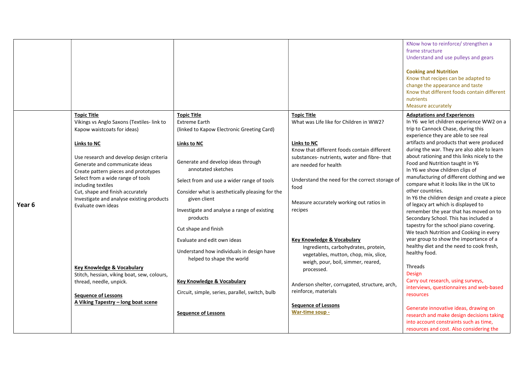|        |                                                                                                                                                                                                                                                                                                                                                                                                                                                                                                                                                                                    |                                                                                                                                                                                                                                                                                                                                                                                                                                                                                                                                                                                     |                                                                                                                                                                                                                                                                                                                                                                                                                                                                                                                                                                                                             | KNow how to reinforce/ strengthen a<br>frame structure<br>Understand and use pulleys and gears<br><b>Cooking and Nutrition</b><br>Know that recipes can be adapted to<br>change the appearance and taste<br>Know that different foods contain different<br>nutrients<br>Measure accurately                                                                                                                                                                                                                                                                                                                                                                                                                                                                                                                                                                                                                                                                                                                                       |
|--------|------------------------------------------------------------------------------------------------------------------------------------------------------------------------------------------------------------------------------------------------------------------------------------------------------------------------------------------------------------------------------------------------------------------------------------------------------------------------------------------------------------------------------------------------------------------------------------|-------------------------------------------------------------------------------------------------------------------------------------------------------------------------------------------------------------------------------------------------------------------------------------------------------------------------------------------------------------------------------------------------------------------------------------------------------------------------------------------------------------------------------------------------------------------------------------|-------------------------------------------------------------------------------------------------------------------------------------------------------------------------------------------------------------------------------------------------------------------------------------------------------------------------------------------------------------------------------------------------------------------------------------------------------------------------------------------------------------------------------------------------------------------------------------------------------------|----------------------------------------------------------------------------------------------------------------------------------------------------------------------------------------------------------------------------------------------------------------------------------------------------------------------------------------------------------------------------------------------------------------------------------------------------------------------------------------------------------------------------------------------------------------------------------------------------------------------------------------------------------------------------------------------------------------------------------------------------------------------------------------------------------------------------------------------------------------------------------------------------------------------------------------------------------------------------------------------------------------------------------|
| Year 6 | <b>Topic Title</b><br>Vikings vs Anglo Saxons (Textiles-link to<br>Kapow waistcoats for ideas)<br>Links to NC<br>Use research and develop design criteria<br>Generate and communicate ideas<br>Create pattern pieces and prototypes<br>Select from a wide range of tools<br>including textiles<br>Cut, shape and finish accurately<br>Investigate and analyse existing products<br>Evaluate own ideas<br>Key Knowledge & Vocabulary<br>Stitch, hessian, viking boat, sew, colours,<br>thread, needle, unpick.<br><b>Sequence of Lessons</b><br>A Viking Tapestry - long boat scene | <b>Topic Title</b><br><b>Extreme Earth</b><br>(linked to Kapow Electronic Greeting Card)<br><b>Links to NC</b><br>Generate and develop ideas through<br>annotated sketches<br>Select from and use a wider range of tools<br>Consider what is aesthetically pleasing for the<br>given client<br>Investigate and analyse a range of existing<br>products<br>Cut shape and finish<br>Evaluate and edit own ideas<br>Understand how individuals in design have<br>helped to shape the world<br><b>Key Knowledge &amp; Vocabulary</b><br>Circuit, simple, series, parallel, switch, bulb | <b>Topic Title</b><br>What was Life like for Children in WW2?<br>Links to NC<br>Know that different foods contain different<br>substances- nutrients, water and fibre- that<br>are needed for health<br>Understand the need for the correct storage of<br>food<br>Measure accurately working out ratios in<br>recipes<br><b>Key Knowledge &amp; Vocabulary</b><br>Ingredients, carbohydrates, protein,<br>vegetables, mutton, chop, mix, slice,<br>weigh, pour, boil, simmer, reared,<br>processed.<br>Anderson shelter, corrugated, structure, arch,<br>reinforce, materials<br><b>Sequence of Lessons</b> | <b>Adaptations and Experiences</b><br>In Y6 we let children experience WW2 on a<br>trip to Cannock Chase, during this<br>experience they are able to see real<br>artifacts and products that were produced<br>during the war. They are also able to learn<br>about rationing and this links nicely to the<br>Food and Nutrition taught in Y6<br>In Y6 we show children clips of<br>manufacturing of different clothing and we<br>compare what it looks like in the UK to<br>other countries.<br>In Y6 the children design and create a piece<br>of legacy art which is displayed to<br>remember the year that has moved on to<br>Secondary School. This has included a<br>tapestry for the school piano covering.<br>We teach Nutrition and Cooking in every<br>year group to show the importance of a<br>healthy diet and the need to cook fresh,<br>healthy food.<br>Threads<br>Design<br>Carry out research, using surveys,<br>interviews, questionnaires and web-based<br>resources<br>Generate innovative ideas, drawing on |
|        |                                                                                                                                                                                                                                                                                                                                                                                                                                                                                                                                                                                    | <b>Sequence of Lessons</b>                                                                                                                                                                                                                                                                                                                                                                                                                                                                                                                                                          | War-time soup -                                                                                                                                                                                                                                                                                                                                                                                                                                                                                                                                                                                             | research and make design decisions taking<br>into account constraints such as time,<br>resources and cost. Also considering the                                                                                                                                                                                                                                                                                                                                                                                                                                                                                                                                                                                                                                                                                                                                                                                                                                                                                                  |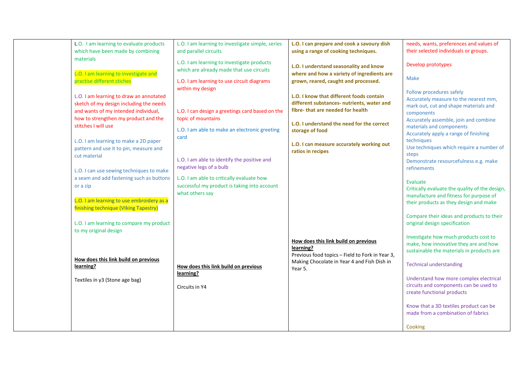| L.O. I am learning to evaluate products<br>which have been made by combining                                                                                                              | L.O. I am learning to investigate simple, series<br>and parallel circuits                                                                  | L.O. I can prepare and cook a savoury dish<br>using a range of cooking techniques.                                                                                                          | needs, wants, preferences and values of<br>their selected individuals or groups.                                                                                                                         |
|-------------------------------------------------------------------------------------------------------------------------------------------------------------------------------------------|--------------------------------------------------------------------------------------------------------------------------------------------|---------------------------------------------------------------------------------------------------------------------------------------------------------------------------------------------|----------------------------------------------------------------------------------------------------------------------------------------------------------------------------------------------------------|
| materials<br>L.O. I am learning to investigate and                                                                                                                                        | L.O. I am learning to investigate products<br>which are already made that use circuits                                                     | L.O. I understand seasonality and know<br>where and how a variety of ingredients are                                                                                                        | Develop prototypes                                                                                                                                                                                       |
| practise different stiches                                                                                                                                                                | L.O. I am learning to use circuit diagrams                                                                                                 | grown, reared, caught and processed.                                                                                                                                                        | <b>Make</b>                                                                                                                                                                                              |
| L.O. I am learning to draw an annotated<br>sketch of my design including the needs<br>and wants of my intended individual,<br>how to strengthen my product and the<br>stitches I will use | within my design<br>L.O. I can design a greetings card based on the<br>topic of mountains<br>L.O. I am able to make an electronic greeting | L.O. I know that different foods contain<br>different substances- nutrients, water and<br>fibre-that are needed for health<br>L.O. I understand the need for the correct<br>storage of food | Follow procedures safely<br>Accurately measure to the nearest mm,<br>mark out, cut and shape materials and<br>components<br>Accurately assemble, join and combine<br>materials and components            |
| L.O. I am learning to make a 2D paper<br>pattern and use it to pin, measure and<br>cut material                                                                                           | card<br>L.O. I am able to identify the positive and<br>negative legs of a bulb                                                             | L.O. I can measure accurately working out<br>ratios in recipes                                                                                                                              | Accurately apply a range of finishing<br>techniques<br>Use techniques which require a number of<br>steps<br>Demonstrate resourcefulness e.g. make<br>refinements                                         |
| L.O. I can use sewing techniques to make<br>a seam and add fastening such as buttons<br>or a zip<br>L.O. I am learning to use embroidery as a<br>finishing technique (VIking Tapestry)    | L.O. I am able to critically evaluate how<br>successful my product is taking into account<br>what others say                               |                                                                                                                                                                                             | Evaluate<br>Critically evaluate the quality of the design,<br>manufacture and fitness for purpose of<br>their products as they design and make                                                           |
| L.O. I am learning to compare my product<br>to my original design                                                                                                                         |                                                                                                                                            |                                                                                                                                                                                             | Compare their ideas and products to their<br>original design specification<br>Investigate how much products cost to                                                                                      |
| How does this link build on previous<br>learning?<br>Textiles in y3 (Stone age bag)                                                                                                       | How does this link build on previous<br>learning?                                                                                          | How does this link build on previous<br>learning?<br>Previous food topics - Field to Fork in Year 3,<br>Making Chocolate in Year 4 and Fish Dish in<br>Year 5.                              | make, how innovative they are and how<br>sustainable the materials in products are<br><b>Technical understanding</b><br>Understand how more complex electrical<br>circuits and components can be used to |
|                                                                                                                                                                                           | Circuits in Y4                                                                                                                             |                                                                                                                                                                                             | create functional products<br>Know that a 3D textiles product can be<br>made from a combination of fabrics<br>Cooking                                                                                    |